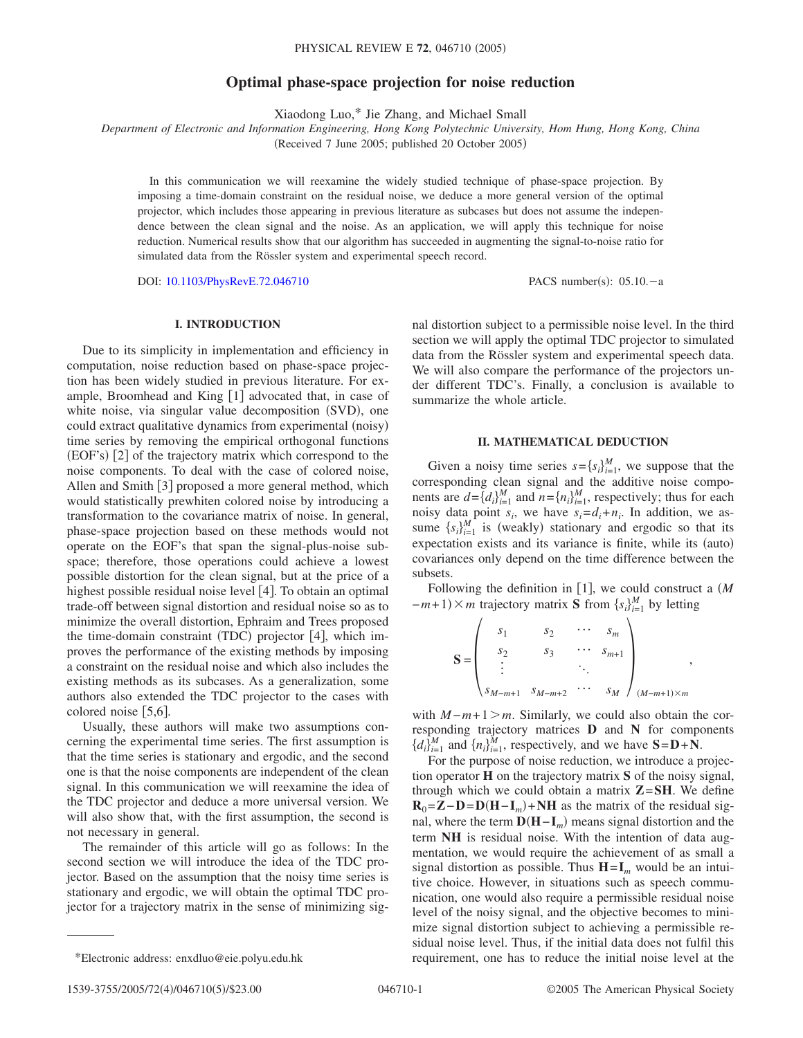## **Optimal phase-space projection for noise reduction**

Xiaodong Luo,\* Jie Zhang, and Michael Small

*Department of Electronic and Information Engineering, Hong Kong Polytechnic University, Hom Hung, Hong Kong, China*

(Received 7 June 2005; published 20 October 2005)

In this communication we will reexamine the widely studied technique of phase-space projection. By imposing a time-domain constraint on the residual noise, we deduce a more general version of the optimal projector, which includes those appearing in previous literature as subcases but does not assume the independence between the clean signal and the noise. As an application, we will apply this technique for noise reduction. Numerical results show that our algorithm has succeeded in augmenting the signal-to-noise ratio for simulated data from the Rössler system and experimental speech record.

DOI: [10.1103/PhysRevE.72.046710](http://dx.doi.org/10.1103/PhysRevE.72.046710)

PACS number(s):  $05.10 - a$ 

## **I. INTRODUCTION**

Due to its simplicity in implementation and efficiency in computation, noise reduction based on phase-space projection has been widely studied in previous literature. For example, Broomhead and King  $\lceil 1 \rceil$  advocated that, in case of white noise, via singular value decomposition (SVD), one could extract qualitative dynamics from experimental (noisy) time series by removing the empirical orthogonal functions (EOF's) [2] of the trajectory matrix which correspond to the noise components. To deal with the case of colored noise, Allen and Smith  $\lceil 3 \rceil$  proposed a more general method, which would statistically prewhiten colored noise by introducing a transformation to the covariance matrix of noise. In general, phase-space projection based on these methods would not operate on the EOF's that span the signal-plus-noise subspace; therefore, those operations could achieve a lowest possible distortion for the clean signal, but at the price of a highest possible residual noise level  $[4]$ . To obtain an optimal trade-off between signal distortion and residual noise so as to minimize the overall distortion, Ephraim and Trees proposed the time-domain constraint (TDC) projector [4], which improves the performance of the existing methods by imposing a constraint on the residual noise and which also includes the existing methods as its subcases. As a generalization, some authors also extended the TDC projector to the cases with colored noise [5,6].

Usually, these authors will make two assumptions concerning the experimental time series. The first assumption is that the time series is stationary and ergodic, and the second one is that the noise components are independent of the clean signal. In this communication we will reexamine the idea of the TDC projector and deduce a more universal version. We will also show that, with the first assumption, the second is not necessary in general.

The remainder of this article will go as follows: In the second section we will introduce the idea of the TDC projector. Based on the assumption that the noisy time series is stationary and ergodic, we will obtain the optimal TDC projector for a trajectory matrix in the sense of minimizing signal distortion subject to a permissible noise level. In the third section we will apply the optimal TDC projector to simulated data from the Rössler system and experimental speech data. We will also compare the performance of the projectors under different TDC's. Finally, a conclusion is available to summarize the whole article.

## **II. MATHEMATICAL DEDUCTION**

Given a noisy time series  $s = \{s_i\}_{i=1}^M$ , we suppose that the corresponding clean signal and the additive noise components are  $d = \{d_i\}_{i=1}^M$  and  $n = \{n_i\}_{i=1}^M$ , respectively; thus for each noisy data point  $s_i$ , we have  $s_i = d_i + n_i$ . In addition, we assume  $\{s_i\}_{i=1}^M$  is (weakly) stationary and ergodic so that its expectation exists and its variance is finite, while its (auto) covariances only depend on the time difference between the subsets.

Following the definition in [1], we could construct a  $(M)$  $-m+1 \times m$  trajectory matrix **S** from  $\{s_i\}_{i=1}^M$  by letting

$$
\mathbf{S} = \begin{pmatrix} s_1 & s_2 & \cdots & s_m \\ s_2 & s_3 & \cdots & s_{m+1} \\ \vdots & & \ddots & \\ s_{M-m+1} & s_{M-m+2} & \cdots & s_M \end{pmatrix}_{(M-m+1)\times m},
$$

with  $M - m + 1 > m$ . Similarly, we could also obtain the corresponding trajectory matrices **D** and **N** for components  ${d_i}_{i=1}^M$  and  ${n_i}_{i=1}^M$ , respectively, and we have  $S = D + N$ .

For the purpose of noise reduction, we introduce a projection operator **H** on the trajectory matrix **S** of the noisy signal, through which we could obtain a matrix  $Z = SH$ . We define  $\mathbf{R}_0 = \mathbf{Z} - \mathbf{D} = \mathbf{D}(\mathbf{H} - \mathbf{I}_m) + \mathbf{N}\mathbf{H}$  as the matrix of the residual signal, where the term **D**(**H**−**I**<sub>*m*</sub>)</sub> means signal distortion and the term **NH** is residual noise. With the intention of data augmentation, we would require the achievement of as small a signal distortion as possible. Thus  $H = I_m$  would be an intuitive choice. However, in situations such as speech communication, one would also require a permissible residual noise level of the noisy signal, and the objective becomes to minimize signal distortion subject to achieving a permissible residual noise level. Thus, if the initial data does not fulfil this \*Electronic address: enxdluo@eie.polyu.edu.hk requirement, one has to reduce the initial noise level at the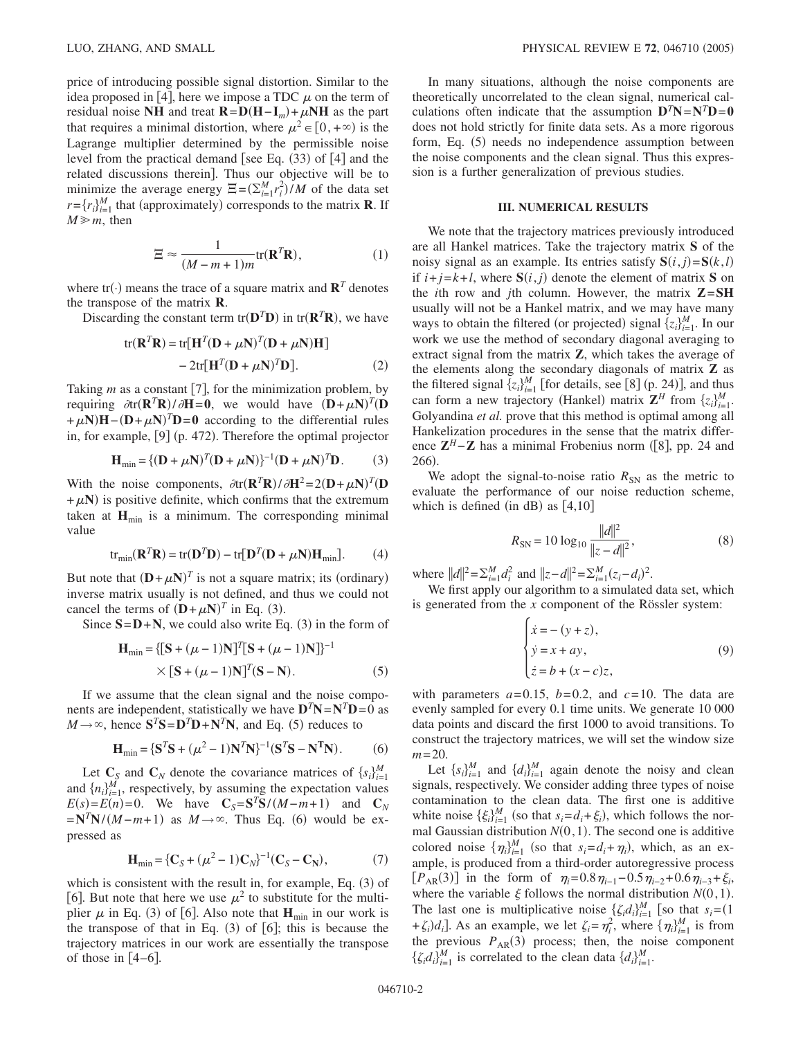price of introducing possible signal distortion. Similar to the idea proposed in [4], here we impose a TDC  $\mu$  on the term of residual noise **NH** and treat  $\mathbf{R} = \mathbf{D}(\mathbf{H} - \mathbf{I}_m) + \mu \mathbf{N} \mathbf{H}$  as the part that requires a minimal distortion, where  $\mu^2 \in [0, +\infty)$  is the Lagrange multiplier determined by the permissible noise level from the practical demand [see Eq.  $(33)$  of  $[4]$  and the related discussions therein]. Thus our objective will be to minimize the average energy  $\Xi = (\sum_{i=1}^{M} r_i^2)/M$  of the data set  $r = \{r_i\}_{i=1}^M$  that (approximately) corresponds to the matrix **R**. If  $M \ge m$ , then

$$
\Xi \approx \frac{1}{(M-m+1)m} \text{tr}(\mathbf{R}^T \mathbf{R}),\tag{1}
$$

where  $tr(\cdot)$  means the trace of a square matrix and  $\mathbf{R}^T$  denotes the transpose of the matrix **R**.

Discarding the constant term  $tr(\mathbf{D}^T \mathbf{D})$  in  $tr(\mathbf{R}^T \mathbf{R})$ , we have

$$
tr(\mathbf{R}^T \mathbf{R}) = tr[\mathbf{H}^T (\mathbf{D} + \mu \mathbf{N})^T (\mathbf{D} + \mu \mathbf{N}) \mathbf{H}]
$$
  
- 2tr[\mathbf{H}^T (\mathbf{D} + \mu \mathbf{N})^T \mathbf{D}]. (2)

Taking  $m$  as a constant [7], for the minimization problem, by requiring  $\partial \text{tr}(\mathbf{R}^T \mathbf{R}) / \partial \mathbf{H} = 0$ , we would have  $(\mathbf{D} + \mu \mathbf{N})^T (\mathbf{D}$  $+\mu N$ **H**−(**D**+ $\mu$ **N**)<sup>*T*</sup>**D**=**0** according to the differential rules in, for example, [9] (p. 472). Therefore the optimal projector

$$
\mathbf{H}_{\text{min}} = \{ (\mathbf{D} + \mu \mathbf{N})^T (\mathbf{D} + \mu \mathbf{N}) \}^{-1} (\mathbf{D} + \mu \mathbf{N})^T \mathbf{D}. \tag{3}
$$

With the noise components,  $\partial$ tr $(\mathbf{R}^T \mathbf{R}) / \partial \mathbf{H}^2 = 2(\mathbf{D} + \mu \mathbf{N})^T (\mathbf{D}^T \mathbf{R})$  $+\mu N$ ) is positive definite, which confirms that the extremum taken at  $H_{min}$  is a minimum. The corresponding minimal value

$$
tr_{\min}(\mathbf{R}^T \mathbf{R}) = tr(\mathbf{D}^T \mathbf{D}) - tr[\mathbf{D}^T (\mathbf{D} + \mu \mathbf{N}) \mathbf{H}_{\min}].
$$
 (4)

But note that  $(D + \mu N)^T$  is not a square matrix; its (ordinary) inverse matrix usually is not defined, and thus we could not cancel the terms of  $(D + \mu N)^T$  in Eq. (3).

Since  $S = D + N$ , we could also write Eq. (3) in the form of

$$
\mathbf{H}_{\min} = \{ [\mathbf{S} + (\mu - 1)\mathbf{N}]^{T} [\mathbf{S} + (\mu - 1)\mathbf{N}] \}^{-1}
$$
  
×  $[\mathbf{S} + (\mu - 1)\mathbf{N}]^{T} (\mathbf{S} - \mathbf{N}).$  (5)

If we assume that the clean signal and the noise components are independent, statistically we have  $D^T N = N^T D = 0$  as  $M \rightarrow \infty$ , hence  $S^T S = D^T D + N^T N$ , and Eq. (5) reduces to

$$
\mathbf{H}_{\min} = \{ \mathbf{S}^T \mathbf{S} + (\mu^2 - 1) \mathbf{N}^T \mathbf{N} \}^{-1} (\mathbf{S}^T \mathbf{S} - \mathbf{N}^T \mathbf{N}).
$$
 (6)

Let  $\mathbf{C}_{\mathcal{S}}$  and  $\mathbf{C}_{N}$  denote the covariance matrices of  $\{s_i\}_{i=1}^{M}$ and  $\{n_i\}_{i=1}^M$ , respectively, by assuming the expectation values  $E(s) = E(n) = 0$ . We have  $C_s = S^T S / (M - m + 1)$  and  $C_N$  $=\mathbf{N}^T\mathbf{N}/(M-m+1)$  as  $M\rightarrow\infty$ . Thus Eq. (6) would be expressed as

$$
\mathbf{H}_{\min} = \{ \mathbf{C}_S + (\mu^2 - 1) \mathbf{C}_N \}^{-1} (\mathbf{C}_S - \mathbf{C}_N), \tag{7}
$$

which is consistent with the result in, for example, Eq. (3) of [6]. But note that here we use  $\mu^2$  to substitute for the multiplier  $\mu$  in Eq. (3) of [6]. Also note that  $\mathbf{H}_{\text{min}}$  in our work is the transpose of that in Eq.  $(3)$  of  $[6]$ ; this is because the trajectory matrices in our work are essentially the transpose of those in  $[4-6]$ .

In many situations, although the noise components are theoretically uncorrelated to the clean signal, numerical calculations often indicate that the assumption  $D^T N = N^T D = 0$ does not hold strictly for finite data sets. As a more rigorous form, Eq. (5) needs no independence assumption between the noise components and the clean signal. Thus this expression is a further generalization of previous studies.

## **III. NUMERICAL RESULTS**

We note that the trajectory matrices previously introduced are all Hankel matrices. Take the trajectory matrix **S** of the noisy signal as an example. Its entries satisfy  $S(i, j) = S(k, l)$ if  $i+j=k+l$ , where  $S(i, j)$  denote the element of matrix S on the *i*th row and *j*th column. However, the matrix **Z**=**SH** usually will not be a Hankel matrix, and we may have many ways to obtain the filtered (or projected) signal  $\{z_i\}_{i=1}^M$ . In our work we use the method of secondary diagonal averaging to extract signal from the matrix **Z**, which takes the average of the elements along the secondary diagonals of matrix **Z** as the filtered signal  $\{z_i\}_{i=1}^M$  [for details, see [8] (p. 24)], and thus can form a new trajectory (Hankel) matrix  $\mathbf{Z}^H$  from  $\{z_i\}_{i=1}^M$ . Golyandina *et al.* prove that this method is optimal among all Hankelization procedures in the sense that the matrix difference  $\mathbf{Z}^H - \mathbf{Z}$  has a minimal Frobenius norm ([8], pp. 24 and 266).

We adopt the signal-to-noise ratio  $R_{SN}$  as the metric to evaluate the performance of our noise reduction scheme, which is defined (in dB) as  $[4,10]$ 

$$
R_{\rm SN} = 10 \log_{10} \frac{\|d\|^2}{\|z - d\|^2},\tag{8}
$$

where  $||d||^2 = \sum_{i=1}^{M} d_i^2$  and  $||z-d||^2 = \sum_{i=1}^{M} (z_i - d_i)^2$ .

We first apply our algorithm to a simulated data set, which is generated from the *x* component of the Rössler system:

$$
\begin{cases}\n\dot{x} = -(y+z), \\
\dot{y} = x + ay, \\
\dot{z} = b + (x-c)z,\n\end{cases}
$$
\n(9)

with parameters  $a=0.15$ ,  $b=0.2$ , and  $c=10$ . The data are evenly sampled for every 0.1 time units. We generate 10 000 data points and discard the first 1000 to avoid transitions. To construct the trajectory matrices, we will set the window size *m*=20.

Let  $\{s_i\}_{i=1}^M$  and  $\{d_i\}_{i=1}^M$  again denote the noisy and clean signals, respectively. We consider adding three types of noise contamination to the clean data. The first one is additive white noise  $\{\xi_i\}_{i=1}^M$  (so that  $s_i = d_i + \xi_i$ ), which follows the normal Gaussian distribution  $N(0,1)$ . The second one is additive colored noise  $\{\eta_i\}_{i=1}^M$  (so that  $s_i = d_i + \eta_i$ ), which, as an example, is produced from a third-order autoregressive process  $[P_{AR}(3)]$  in the form of  $\eta_i = 0.8 \eta_{i-1} - 0.5 \eta_{i-2} + 0.6 \eta_{i-3} + \xi_i$ where the variable  $\xi$  follows the normal distribution  $N(0,1)$ . The last one is multiplicative noise  $\{\zeta_i d_i\}_{i=1}^M$  [so that  $s_i = (1$ + $\zeta_i$ ) $d_i$ ]. As an example, we let  $\zeta_i = \eta_i^2$ , where  $\{\eta_i\}_{i=1}^M$  is from the previous  $P_{AR}(3)$  process; then, the noise component  $\{\zeta_i d_i\}_{i=1}^M$  is correlated to the clean data  $\{d_i\}_{i=1}^M$ .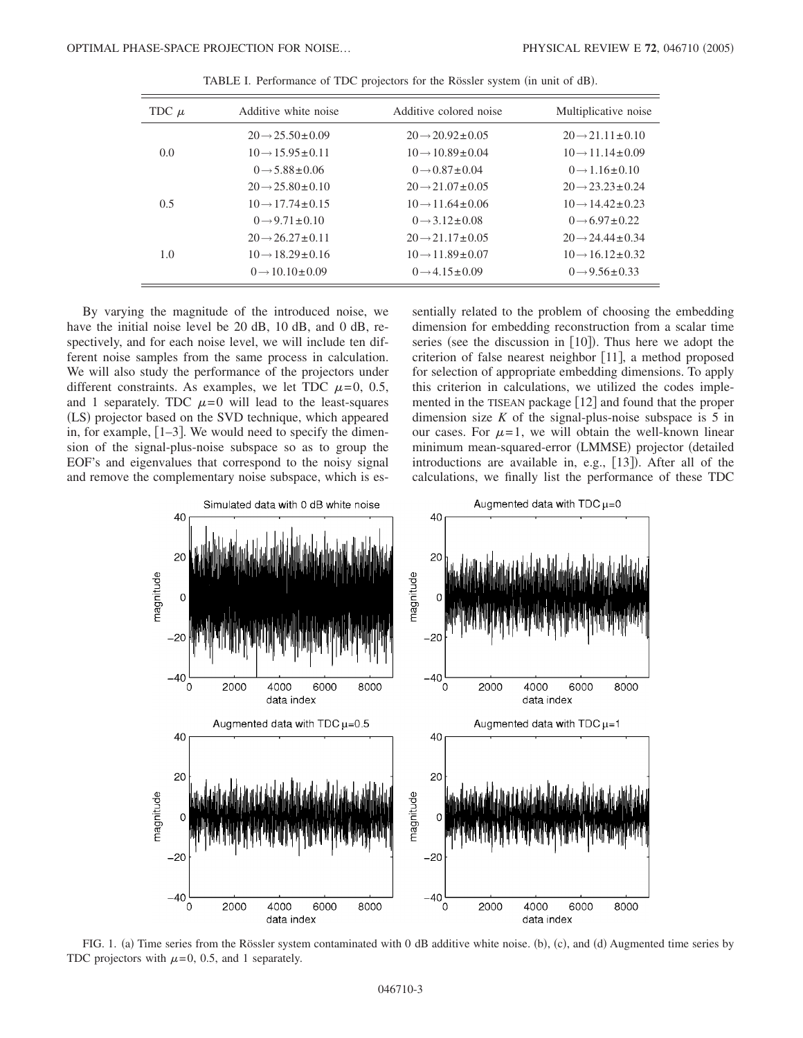| TDC $\mu$ | Additive white noise            | Additive colored noise          | Multiplicative noise            |
|-----------|---------------------------------|---------------------------------|---------------------------------|
| 0.0       | $20 \rightarrow 25.50 \pm 0.09$ | $20 \rightarrow 20.92 \pm 0.05$ | $20 \rightarrow 21.11 \pm 0.10$ |
|           | $10 \rightarrow 15.95 \pm 0.11$ | $10 \rightarrow 10.89 \pm 0.04$ | $10 \rightarrow 11.14 \pm 0.09$ |
|           | $0 \rightarrow 5.88 \pm 0.06$   | $0 \rightarrow 0.87 \pm 0.04$   | $0 \rightarrow 1.16 \pm 0.10$   |
| 0.5       | $20 \rightarrow 25.80 \pm 0.10$ | $20 \rightarrow 21.07 \pm 0.05$ | $20 \rightarrow 23.23 \pm 0.24$ |
|           | $10 \rightarrow 17.74 \pm 0.15$ | $10 \rightarrow 11.64 \pm 0.06$ | $10 \rightarrow 14.42 \pm 0.23$ |
|           | $0 \rightarrow 9.71 \pm 0.10$   | $0 \rightarrow 3.12 \pm 0.08$   | $0 \rightarrow 6.97 \pm 0.22$   |
| 1.0       | $20 \rightarrow 26.27 \pm 0.11$ | $20 \rightarrow 21.17 \pm 0.05$ | $20 \rightarrow 24.44 \pm 0.34$ |
|           | $10 \rightarrow 18.29 \pm 0.16$ | $10 \rightarrow 11.89 \pm 0.07$ | $10 \rightarrow 16.12 \pm 0.32$ |
|           | $0 \rightarrow 10.10 \pm 0.09$  | $0 \rightarrow 4.15 \pm 0.09$   | $0 \rightarrow 9.56 \pm 0.33$   |

TABLE I. Performance of TDC projectors for the Rössler system (in unit of dB).

By varying the magnitude of the introduced noise, we have the initial noise level be 20 dB, 10 dB, and 0 dB, respectively, and for each noise level, we will include ten different noise samples from the same process in calculation. We will also study the performance of the projectors under different constraints. As examples, we let TDC  $\mu=0$ , 0.5, and 1 separately. TDC  $\mu=0$  will lead to the least-squares (LS) projector based on the SVD technique, which appeared in, for example,  $[1-3]$ . We would need to specify the dimension of the signal-plus-noise subspace so as to group the EOF's and eigenvalues that correspond to the noisy signal and remove the complementary noise subspace, which is essentially related to the problem of choosing the embedding dimension for embedding reconstruction from a scalar time series (see the discussion in  $[10]$ ). Thus here we adopt the criterion of false nearest neighbor [11], a method proposed for selection of appropriate embedding dimensions. To apply this criterion in calculations, we utilized the codes implemented in the TISEAN package  $[12]$  and found that the proper dimension size  $K$  of the signal-plus-noise subspace is  $5$  in our cases. For  $\mu=1$ , we will obtain the well-known linear minimum mean-squared-error (LMMSE) projector (detailed introductions are available in, e.g., [13]). After all of the calculations, we finally list the performance of these TDC



FIG. 1. (a) Time series from the Rössler system contaminated with 0 dB additive white noise. (b), (c), and (d) Augmented time series by TDC projectors with  $\mu$ =0, 0.5, and 1 separately.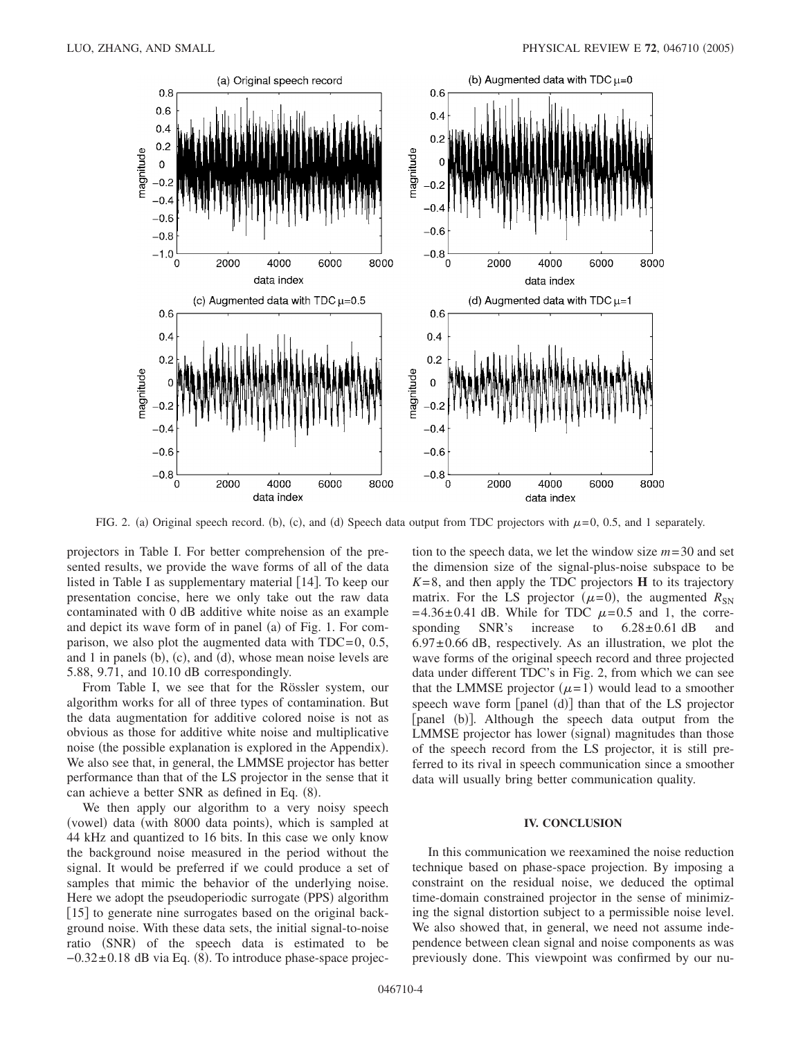

FIG. 2. (a) Original speech record. (b), (c), and (d) Speech data output from TDC projectors with  $\mu$ =0, 0.5, and 1 separately.

projectors in Table I. For better comprehension of the presented results, we provide the wave forms of all of the data listed in Table I as supplementary material [14]. To keep our presentation concise, here we only take out the raw data contaminated with 0 dB additive white noise as an example and depict its wave form of in panel (a) of Fig. 1. For comparison, we also plot the augmented data with  $TDC=0$ , 0.5, and 1 in panels  $(b)$ ,  $(c)$ , and  $(d)$ , whose mean noise levels are 5.88, 9.71, and 10.10 dB correspondingly.

From Table I, we see that for the Rössler system, our algorithm works for all of three types of contamination. But the data augmentation for additive colored noise is not as obvious as those for additive white noise and multiplicative noise (the possible explanation is explored in the Appendix). We also see that, in general, the LMMSE projector has better performance than that of the LS projector in the sense that it can achieve a better SNR as defined in Eq. (8).

We then apply our algorithm to a very noisy speech (vowel) data (with 8000 data points), which is sampled at 44 kHz and quantized to 16 bits. In this case we only know the background noise measured in the period without the signal. It would be preferred if we could produce a set of samples that mimic the behavior of the underlying noise. Here we adopt the pseudoperiodic surrogate (PPS) algorithm [15] to generate nine surrogates based on the original background noise. With these data sets, the initial signal-to-noise ratio (SNR) of the speech data is estimated to be -0.32±0.18 dB via Eq. (8). To introduce phase-space projection to the speech data, we let the window size *m*=30 and set the dimension size of the signal-plus-noise subspace to be  $K=8$ , and then apply the TDC projectors **H** to its trajectory matrix. For the LS projector  $(\mu=0)$ , the augmented  $R_{SN}$  $=4.36\pm0.41$  dB. While for TDC  $\mu=0.5$  and 1, the corresponding SNR's increase to  $6.28 \pm 0.61$  dB and  $6.97\pm0.66$  dB, respectively. As an illustration, we plot the wave forms of the original speech record and three projected data under different TDC's in Fig. 2, from which we can see that the LMMSE projector  $(\mu=1)$  would lead to a smoother speech wave form [panel (d)] than that of the LS projector [panel (b)]. Although the speech data output from the LMMSE projector has lower (signal) magnitudes than those of the speech record from the LS projector, it is still preferred to its rival in speech communication since a smoother data will usually bring better communication quality.

# **IV. CONCLUSION**

In this communication we reexamined the noise reduction technique based on phase-space projection. By imposing a constraint on the residual noise, we deduced the optimal time-domain constrained projector in the sense of minimizing the signal distortion subject to a permissible noise level. We also showed that, in general, we need not assume independence between clean signal and noise components as was previously done. This viewpoint was confirmed by our nu